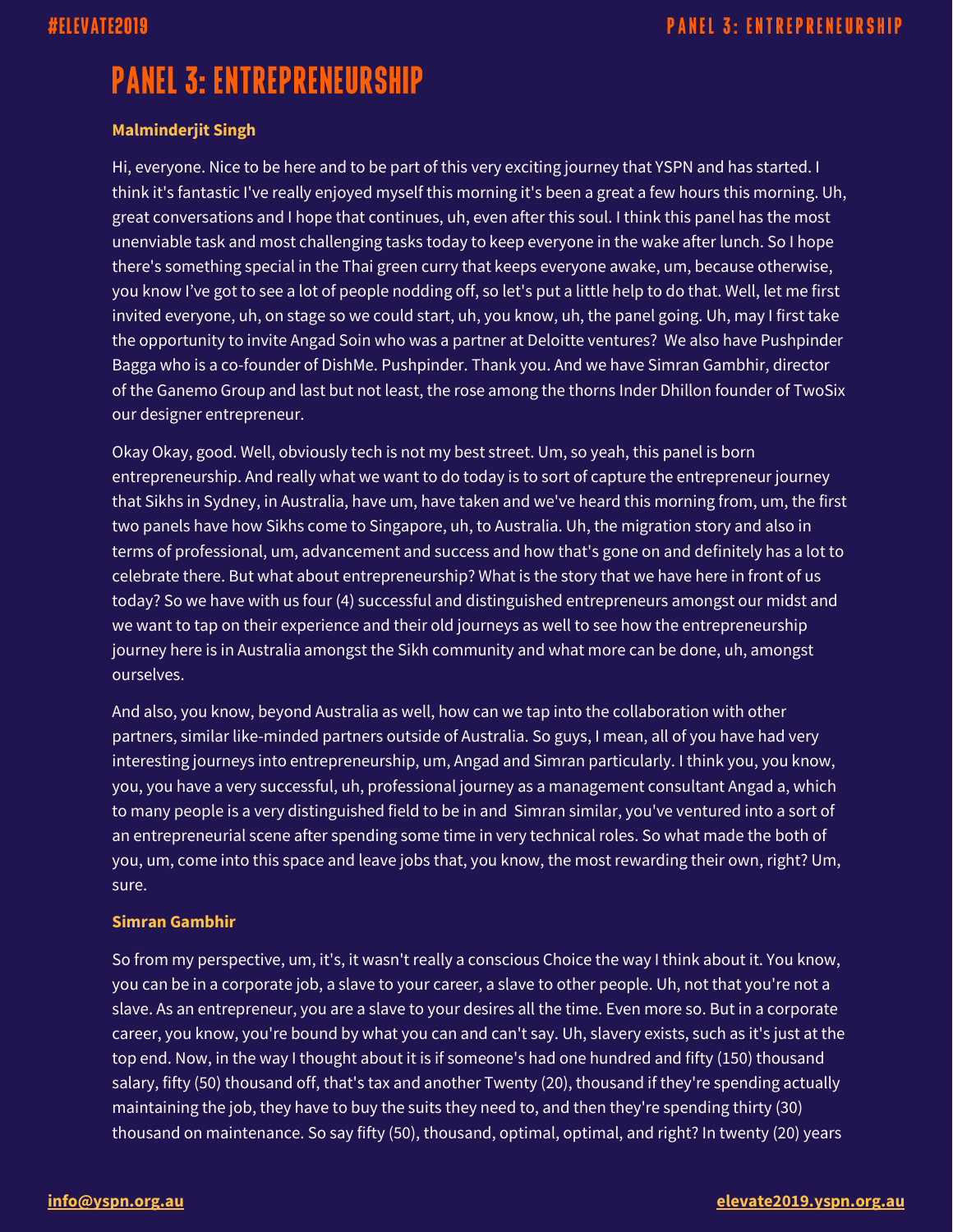## **Malminderjit Singh**

Hi, everyone. Nice to be here and to be part of this very exciting journey that YSPN and has started. I think it's fantastic I've really enjoyed myself this morning it's been a great a few hours this morning. Uh, great conversations and I hope that continues, uh, even after this soul. I think this panel has the most unenviable task and most challenging tasks today to keep everyone in the wake after lunch. So I hope there's something special in the Thai green curry that keeps everyone awake, um, because otherwise, you know I've got to see a lot of people nodding off, so let's put a little help to do that. Well, let me first invited everyone, uh, on stage so we could start, uh, you know, uh, the panel going. Uh, may I first take the opportunity to invite Angad Soin who was a partner at Deloitte ventures? We also have Pushpinder Bagga who is a co-founder of DishMe. Pushpinder. Thank you. And we have Simran Gambhir, director of the Ganemo Group and last but not least, the rose among the thorns Inder Dhillon founder of TwoSix our designer entrepreneur.

Okay Okay, good. Well, obviously tech is not my best street. Um, so yeah, this panel is born entrepreneurship. And really what we want to do today is to sort of capture the entrepreneur journey that Sikhs in Sydney, in Australia, have um, have taken and we've heard this morning from, um, the first two panels have how Sikhs come to Singapore, uh, to Australia. Uh, the migration story and also in terms of professional, um, advancement and success and how that's gone on and definitely has a lot to celebrate there. But what about entrepreneurship? What is the story that we have here in front of us today? So we have with us four (4) successful and distinguished entrepreneurs amongst our midst and we want to tap on their experience and their old journeys as well to see how the entrepreneurship journey here is in Australia amongst the Sikh community and what more can be done, uh, amongst ourselves.

And also, you know, beyond Australia as well, how can we tap into the collaboration with other partners, similar like-minded partners outside of Australia. So guys, I mean, all of you have had very interesting journeys into entrepreneurship, um, Angad and Simran particularly. I think you, you know, you, you have a very successful, uh, professional journey as a management consultant Angad a, which to many people is a very distinguished field to be in and Simran similar, you've ventured into a sort of an entrepreneurial scene after spending some time in very technical roles. So what made the both of you, um, come into this space and leave jobs that, you know, the most rewarding their own, right? Um, sure.

## **Simran Gambhir**

So from my perspective, um, it's, it wasn't really a conscious Choice the way I think about it. You know, you can be in a corporate job, a slave to your career, a slave to other people. Uh, not that you're not a slave. As an entrepreneur, you are a slave to your desires all the time. Even more so. But in a corporate career, you know, you're bound by what you can and can't say. Uh, slavery exists, such as it's just at the top end. Now, in the way I thought about it is if someone's had one hundred and fifty (150) thousand salary, fifty (50) thousand off, that's tax and another Twenty (20), thousand if they're spending actually maintaining the job, they have to buy the suits they need to, and then they're spending thirty (30) thousand on maintenance. So say fifty (50), thousand, optimal, optimal, and right? In twenty (20) years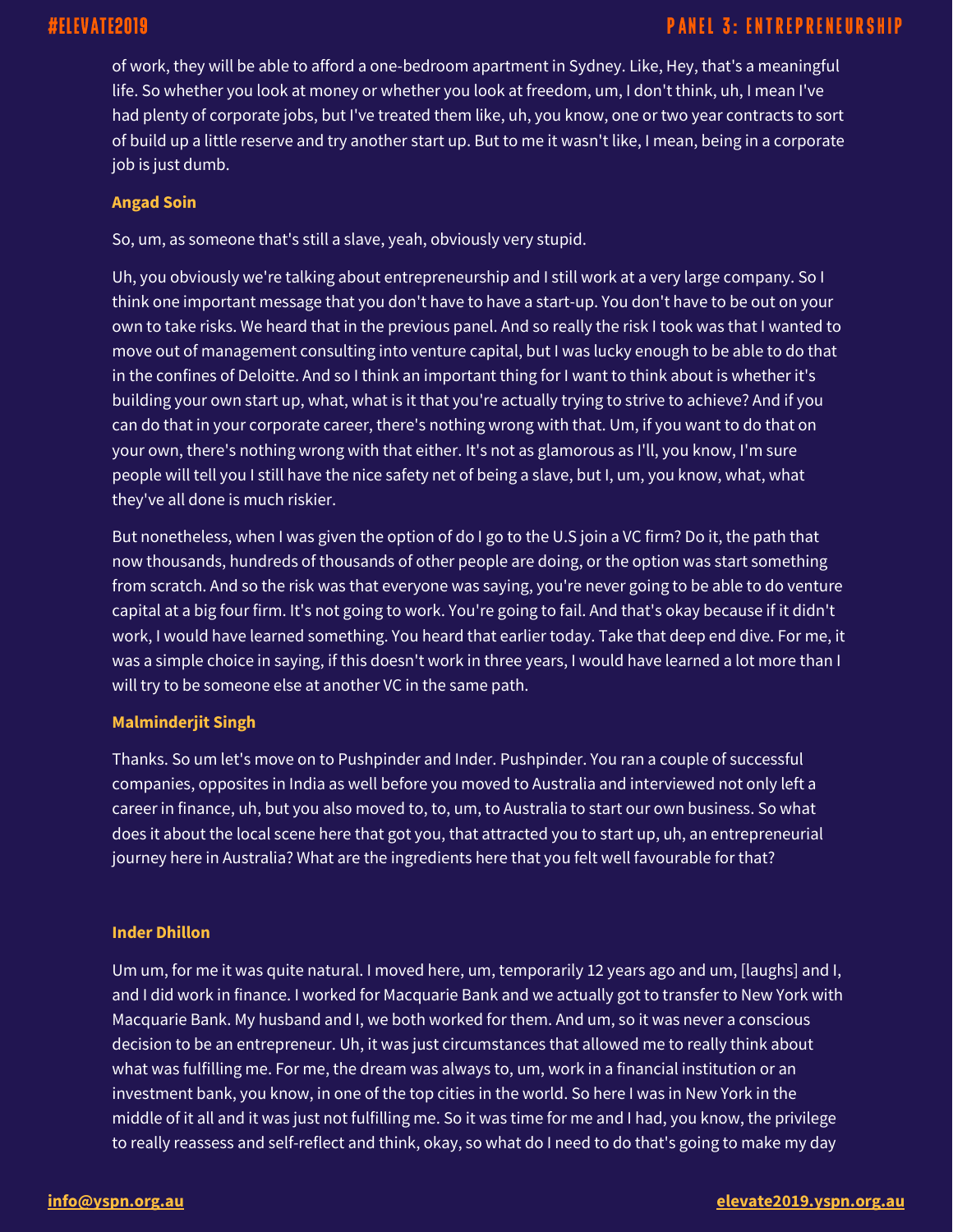of work, they will be able to afford a one-bedroom apartment in Sydney. Like, Hey, that's a meaningful life. So whether you look at money or whether you look at freedom, um, I don't think, uh, I mean I've had plenty of corporate jobs, but I've treated them like, uh, you know, one or two year contracts to sort of build up a little reserve and try another start up. But to me it wasn't like, I mean, being in a corporate job is just dumb.

## **Angad Soin**

So, um, as someone that's still a slave, yeah, obviously very stupid.

Uh, you obviously we're talking about entrepreneurship and I still work at a very large company. So I think one important message that you don't have to have a start-up. You don't have to be out on your own to take risks. We heard that in the previous panel. And so really the risk I took was that I wanted to move out of management consulting into venture capital, but I was lucky enough to be able to do that in the confines of Deloitte. And so I think an important thing for I want to think about is whether it's building your own start up, what, what is it that you're actually trying to strive to achieve? And if you can do that in your corporate career, there's nothing wrong with that. Um, if you want to do that on your own, there's nothing wrong with that either. It's not as glamorous as I'll, you know, I'm sure people will tell you I still have the nice safety net of being a slave, but I, um, you know, what, what they've all done is much riskier.

But nonetheless, when I was given the option of do I go to the U.S join a VC firm? Do it, the path that now thousands, hundreds of thousands of other people are doing, or the option was start something from scratch. And so the risk was that everyone was saying, you're never going to be able to do venture capital at a big four firm. It's not going to work. You're going to fail. And that's okay because if it didn't work, I would have learned something. You heard that earlier today. Take that deep end dive. For me, it was a simple choice in saying, if this doesn't work in three years, I would have learned a lot more than I will try to be someone else at another VC in the same path.

## **Malminderjit Singh**

Thanks. So um let's move on to Pushpinder and Inder. Pushpinder. You ran a couple of successful companies, opposites in India as well before you moved to Australia and interviewed not only left a career in finance, uh, but you also moved to, to, um, to Australia to start our own business. So what does it about the local scene here that got you, that attracted you to start up, uh, an entrepreneurial journey here in Australia? What are the ingredients here that you felt well favourable for that?

## **Inder Dhillon**

Um um, for me it was quite natural. I moved here, um, temporarily 12 years ago and um, [laughs] and I, and I did work in finance. I worked for Macquarie Bank and we actually got to transfer to New York with Macquarie Bank. My husband and I, we both worked for them. And um, so it was never a conscious decision to be an entrepreneur. Uh, it was just circumstances that allowed me to really think about what was fulfilling me. For me, the dream was always to, um, work in a financial institution or an investment bank, you know, in one of the top cities in the world. So here I was in New York in the middle of it all and it was just not fulfilling me. So it was time for me and I had, you know, the privilege to really reassess and self-reflect and think, okay, so what do I need to do that's going to make my day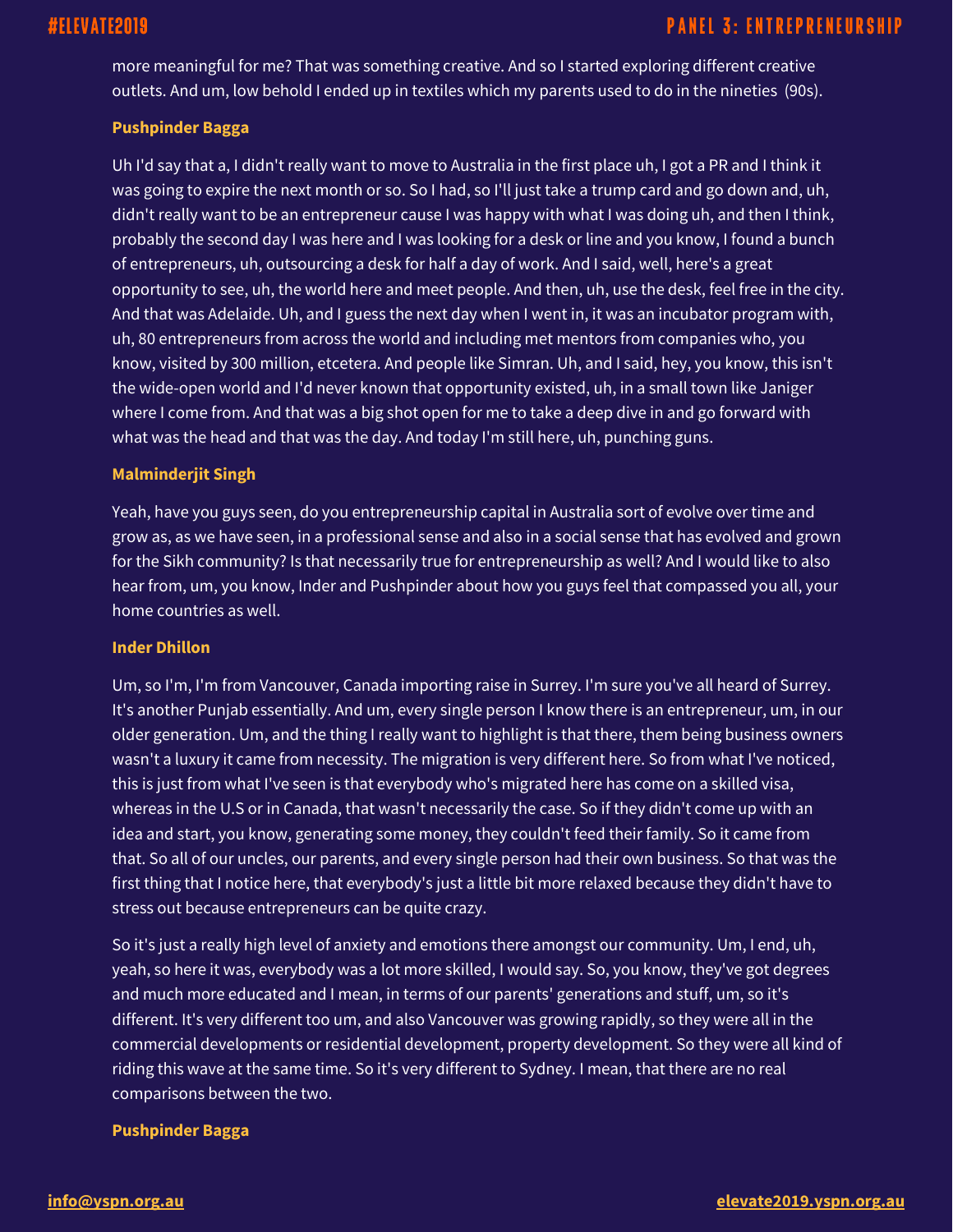more meaningful for me? That was something creative. And so I started exploring different creative outlets. And um, low behold I ended up in textiles which my parents used to do in the nineties (90s).

## **Pushpinder Bagga**

Uh I'd say that a, I didn't really want to move to Australia in the first place uh, I got a PR and I think it was going to expire the next month or so. So I had, so I'll just take a trump card and go down and, uh, didn't really want to be an entrepreneur cause I was happy with what I was doing uh, and then I think, probably the second day I was here and I was looking for a desk or line and you know, I found a bunch of entrepreneurs, uh, outsourcing a desk for half a day of work. And I said, well, here's a great opportunity to see, uh, the world here and meet people. And then, uh, use the desk, feel free in the city. And that was Adelaide. Uh, and I guess the next day when I went in, it was an incubator program with, uh, 80 entrepreneurs from across the world and including met mentors from companies who, you know, visited by 300 million, etcetera. And people like Simran. Uh, and I said, hey, you know, this isn't the wide-open world and I'd never known that opportunity existed, uh, in a small town like Janiger where I come from. And that was a big shot open for me to take a deep dive in and go forward with what was the head and that was the day. And today I'm still here, uh, punching guns.

## **Malminderjit Singh**

Yeah, have you guys seen, do you entrepreneurship capital in Australia sort of evolve over time and grow as, as we have seen, in a professional sense and also in a social sense that has evolved and grown for the Sikh community? Is that necessarily true for entrepreneurship as well? And I would like to also hear from, um, you know, Inder and Pushpinder about how you guys feel that compassed you all, your home countries as well.

## **Inder Dhillon**

Um, so I'm, I'm from Vancouver, Canada importing raise in Surrey. I'm sure you've all heard of Surrey. It's another Punjab essentially. And um, every single person I know there is an entrepreneur, um, in our older generation. Um, and the thing I really want to highlight is that there, them being business owners wasn't a luxury it came from necessity. The migration is very different here. So from what I've noticed, this is just from what I've seen is that everybody who's migrated here has come on a skilled visa, whereas in the U.S or in Canada, that wasn't necessarily the case. So if they didn't come up with an idea and start, you know, generating some money, they couldn't feed their family. So it came from that. So all of our uncles, our parents, and every single person had their own business. So that was the first thing that I notice here, that everybody's just a little bit more relaxed because they didn't have to stress out because entrepreneurs can be quite crazy.

So it's just a really high level of anxiety and emotions there amongst our community. Um, I end, uh, yeah, so here it was, everybody was a lot more skilled, I would say. So, you know, they've got degrees and much more educated and I mean, in terms of our parents' generations and stuff, um, so it's different. It's very different too um, and also Vancouver was growing rapidly, so they were all in the commercial developments or residential development, property development. So they were all kind of riding this wave at the same time. So it's very different to Sydney. I mean, that there are no real comparisons between the two.

## **Pushpinder Bagga**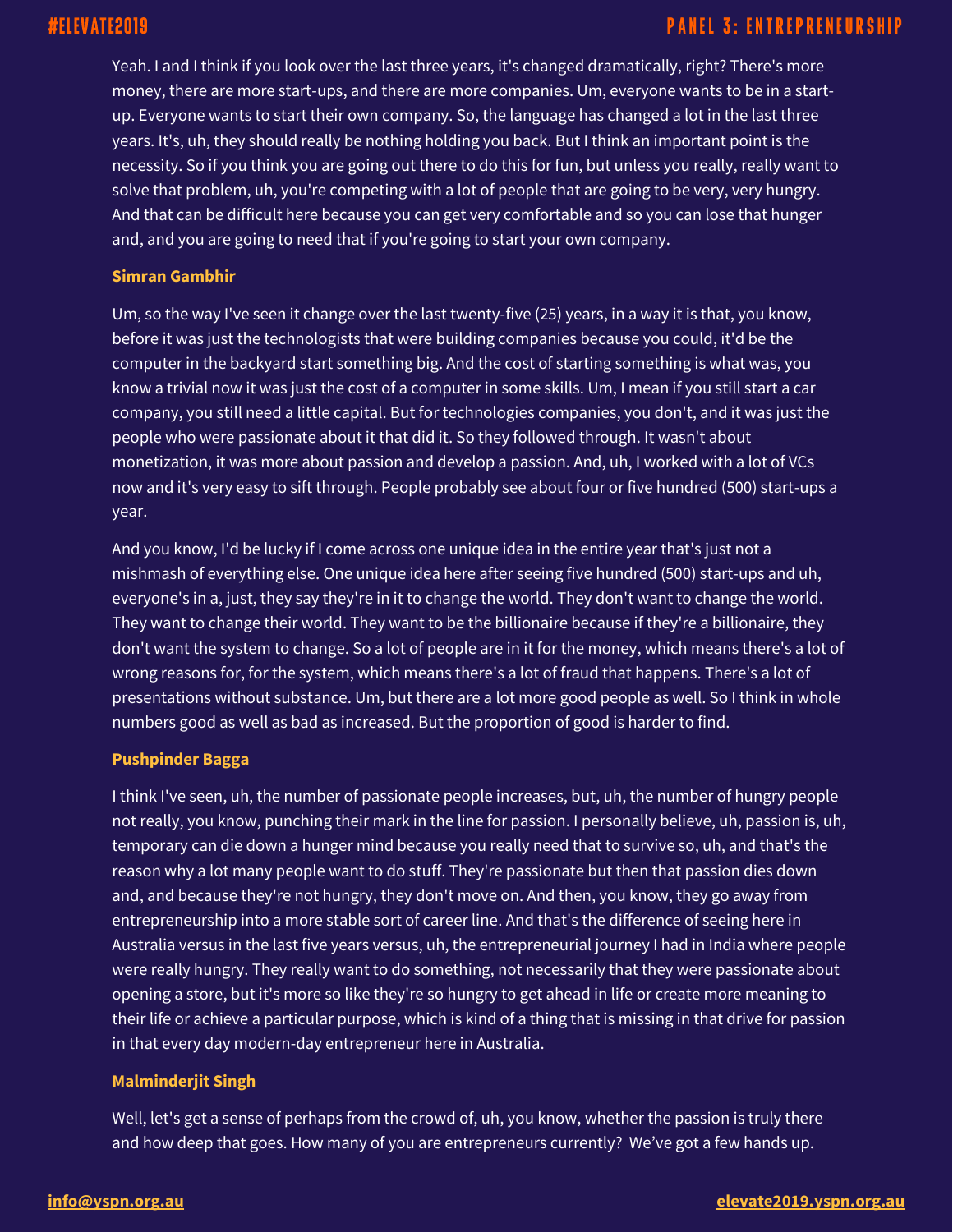Yeah. I and I think if you look over the last three years, it's changed dramatically, right? There's more money, there are more start-ups, and there are more companies. Um, everyone wants to be in a startup. Everyone wants to start their own company. So, the language has changed a lot in the last three years. It's, uh, they should really be nothing holding you back. But I think an important point is the necessity. So if you think you are going out there to do this for fun, but unless you really, really want to solve that problem, uh, you're competing with a lot of people that are going to be very, very hungry. And that can be difficult here because you can get very comfortable and so you can lose that hunger and, and you are going to need that if you're going to start your own company.

## **Simran Gambhir**

Um, so the way I've seen it change over the last twenty-five (25) years, in a way it is that, you know, before it was just the technologists that were building companies because you could, it'd be the computer in the backyard start something big. And the cost of starting something is what was, you know a trivial now it was just the cost of a computer in some skills. Um, I mean if you still start a car company, you still need a little capital. But for technologies companies, you don't, and it was just the people who were passionate about it that did it. So they followed through. It wasn't about monetization, it was more about passion and develop a passion. And, uh, I worked with a lot of VCs now and it's very easy to sift through. People probably see about four or five hundred (500) start-ups a year.

And you know, I'd be lucky if I come across one unique idea in the entire year that's just not a mishmash of everything else. One unique idea here after seeing five hundred (500) start-ups and uh, everyone's in a, just, they say they're in it to change the world. They don't want to change the world. They want to change their world. They want to be the billionaire because if they're a billionaire, they don't want the system to change. So a lot of people are in it for the money, which means there's a lot of wrong reasons for, for the system, which means there's a lot of fraud that happens. There's a lot of presentations without substance. Um, but there are a lot more good people as well. So I think in whole numbers good as well as bad as increased. But the proportion of good is harder to find.

## **Pushpinder Bagga**

I think I've seen, uh, the number of passionate people increases, but, uh, the number of hungry people not really, you know, punching their mark in the line for passion. I personally believe, uh, passion is, uh, temporary can die down a hunger mind because you really need that to survive so, uh, and that's the reason why a lot many people want to do stuff. They're passionate but then that passion dies down and, and because they're not hungry, they don't move on. And then, you know, they go away from entrepreneurship into a more stable sort of career line. And that's the difference of seeing here in Australia versus in the last five years versus, uh, the entrepreneurial journey I had in India where people were really hungry. They really want to do something, not necessarily that they were passionate about opening a store, but it's more so like they're so hungry to get ahead in life or create more meaning to their life or achieve a particular purpose, which is kind of a thing that is missing in that drive for passion in that every day modern-day entrepreneur here in Australia.

## **Malminderjit Singh**

Well, let's get a sense of perhaps from the crowd of, uh, you know, whether the passion is truly there and how deep that goes. How many of you are entrepreneurs currently? We've got a few hands up.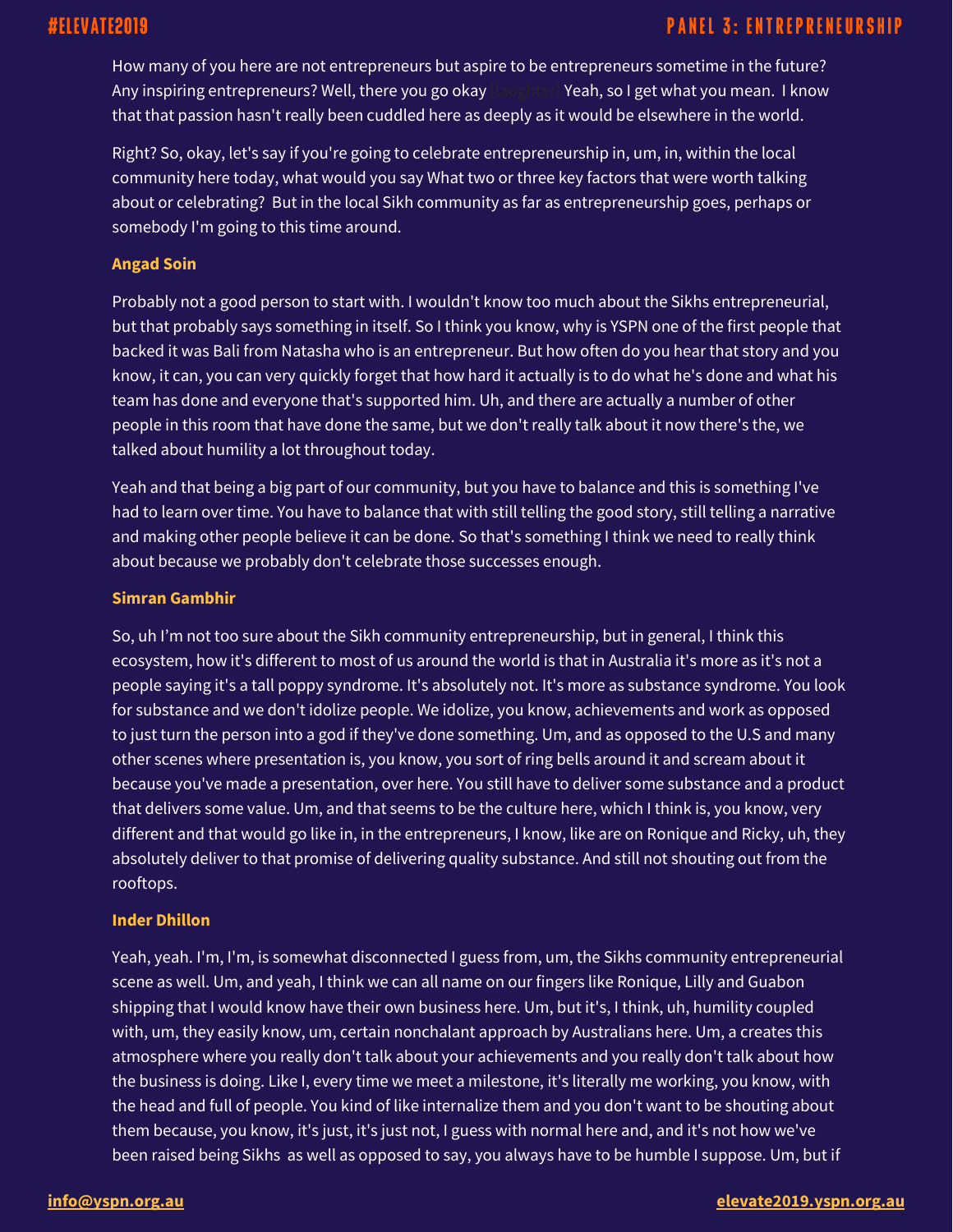## **PANEL 3: ENTREPRENEURSHIP**

How many of you here are not entrepreneurs but aspire to be entrepreneurs sometime in the future? Any inspiring entrepreneurs? Well, there you go okay learning Yeah, so I get what you mean. I know that that passion hasn't really been cuddled here as deeply as it would be elsewhere in the world.

Right? So, okay, let's say if you're going to celebrate entrepreneurship in, um, in, within the local community here today, what would you say What two or three key factors that were worth talking about or celebrating? But in the local Sikh community as far as entrepreneurship goes, perhaps or somebody I'm going to this time around.

#### **Angad Soin**

Probably not a good person to start with. I wouldn't know too much about the Sikhs entrepreneurial, but that probably says something in itself. So I think you know, why is YSPN one of the first people that backed it was Bali from Natasha who is an entrepreneur. But how often do you hear that story and you know, it can, you can very quickly forget that how hard it actually is to do what he's done and what his team has done and everyone that's supported him. Uh, and there are actually a number of other people in this room that have done the same, but we don't really talk about it now there's the, we talked about humility a lot throughout today.

Yeah and that being a big part of our community, but you have to balance and this is something I've had to learn over time. You have to balance that with still telling the good story, still telling a narrative and making other people believe it can be done. So that's something I think we need to really think about because we probably don't celebrate those successes enough.

#### **Simran Gambhir**

So, uh I'm not too sure about the Sikh community entrepreneurship, but in general, I think this ecosystem, how it's different to most of us around the world is that in Australia it's more as it's not a people saying it's a tall poppy syndrome. It's absolutely not. It's more as substance syndrome. You look for substance and we don't idolize people. We idolize, you know, achievements and work as opposed to just turn the person into a god if they've done something. Um, and as opposed to the U.S and many other scenes where presentation is, you know, you sort of ring bells around it and scream about it because you've made a presentation, over here. You still have to deliver some substance and a product that delivers some value. Um, and that seems to be the culture here, which I think is, you know, very different and that would go like in, in the entrepreneurs, I know, like are on Ronique and Ricky, uh, they absolutely deliver to that promise of delivering quality substance. And still not shouting out from the rooftops.

## **Inder Dhillon**

Yeah, yeah. I'm, I'm, is somewhat disconnected I guess from, um, the Sikhs community entrepreneurial scene as well. Um, and yeah, I think we can all name on our fingers like Ronique, Lilly and Guabon shipping that I would know have their own business here. Um, but it's, I think, uh, humility coupled with, um, they easily know, um, certain nonchalant approach by Australians here. Um, a creates this atmosphere where you really don't talk about your achievements and you really don't talk about how the business is doing. Like I, every time we meet a milestone, it's literally me working, you know, with the head and full of people. You kind of like internalize them and you don't want to be shouting about them because, you know, it's just, it's just not, I guess with normal here and, and it's not how we've been raised being Sikhs as well as opposed to say, you always have to be humble I suppose. Um, but if

#### **[info@yspn.org.au](mailto:info@yspn.org.au) [elevate2019.yspn.org.au](https://elevate2019.yspn.org.au/)**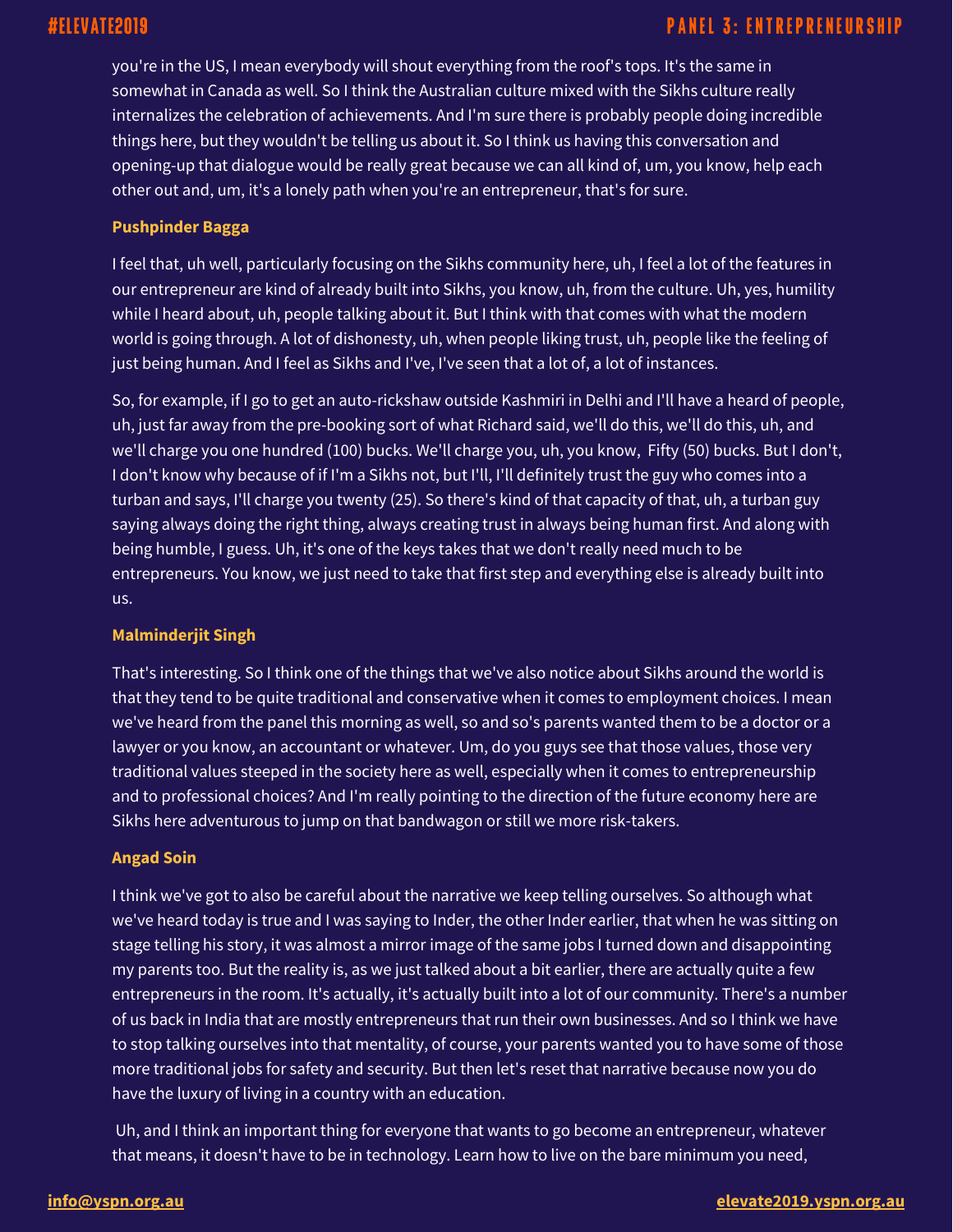you're in the US, I mean everybody will shout everything from the roof's tops. It's the same in somewhat in Canada as well. So I think the Australian culture mixed with the Sikhs culture really internalizes the celebration of achievements. And I'm sure there is probably people doing incredible things here, but they wouldn't be telling us about it. So I think us having this conversation and opening-up that dialogue would be really great because we can all kind of, um, you know, help each other out and, um, it's a lonely path when you're an entrepreneur, that's for sure.

## **Pushpinder Bagga**

I feel that, uh well, particularly focusing on the Sikhs community here, uh, I feel a lot of the features in our entrepreneur are kind of already built into Sikhs, you know, uh, from the culture. Uh, yes, humility while I heard about, uh, people talking about it. But I think with that comes with what the modern world is going through. A lot of dishonesty, uh, when people liking trust, uh, people like the feeling of just being human. And I feel as Sikhs and I've, I've seen that a lot of, a lot of instances.

So, for example, if I go to get an auto-rickshaw outside Kashmiri in Delhi and I'll have a heard of people, uh, just far away from the pre-booking sort of what Richard said, we'll do this, we'll do this, uh, and we'll charge you one hundred (100) bucks. We'll charge you, uh, you know, Fifty (50) bucks. But I don't, I don't know why because of if I'm a Sikhs not, but I'll, I'll definitely trust the guy who comes into a turban and says, I'll charge you twenty (25). So there's kind of that capacity of that, uh, a turban guy saying always doing the right thing, always creating trust in always being human first. And along with being humble, I guess. Uh, it's one of the keys takes that we don't really need much to be entrepreneurs. You know, we just need to take that first step and everything else is already built into us.

## **Malminderjit Singh**

That's interesting. So I think one of the things that we've also notice about Sikhs around the world is that they tend to be quite traditional and conservative when it comes to employment choices. I mean we've heard from the panel this morning as well, so and so's parents wanted them to be a doctor or a lawyer or you know, an accountant or whatever. Um, do you guys see that those values, those very traditional values steeped in the society here as well, especially when it comes to entrepreneurship and to professional choices? And I'm really pointing to the direction of the future economy here are Sikhs here adventurous to jump on that bandwagon or still we more risk-takers.

## **Angad Soin**

I think we've got to also be careful about the narrative we keep telling ourselves. So although what we've heard today is true and I was saying to Inder, the other Inder earlier, that when he was sitting on stage telling his story, it was almost a mirror image of the same jobs I turned down and disappointing my parents too. But the reality is, as we just talked about a bit earlier, there are actually quite a few entrepreneurs in the room. It's actually, it's actually built into a lot of our community. There's a number of us back in India that are mostly entrepreneurs that run their own businesses. And so I think we have to stop talking ourselves into that mentality, of course, your parents wanted you to have some of those more traditional jobs for safety and security. But then let's reset that narrative because now you do have the luxury of living in a country with an education.

Uh, and I think an important thing for everyone that wants to go become an entrepreneur, whatever that means, it doesn't have to be in technology. Learn how to live on the bare minimum you need,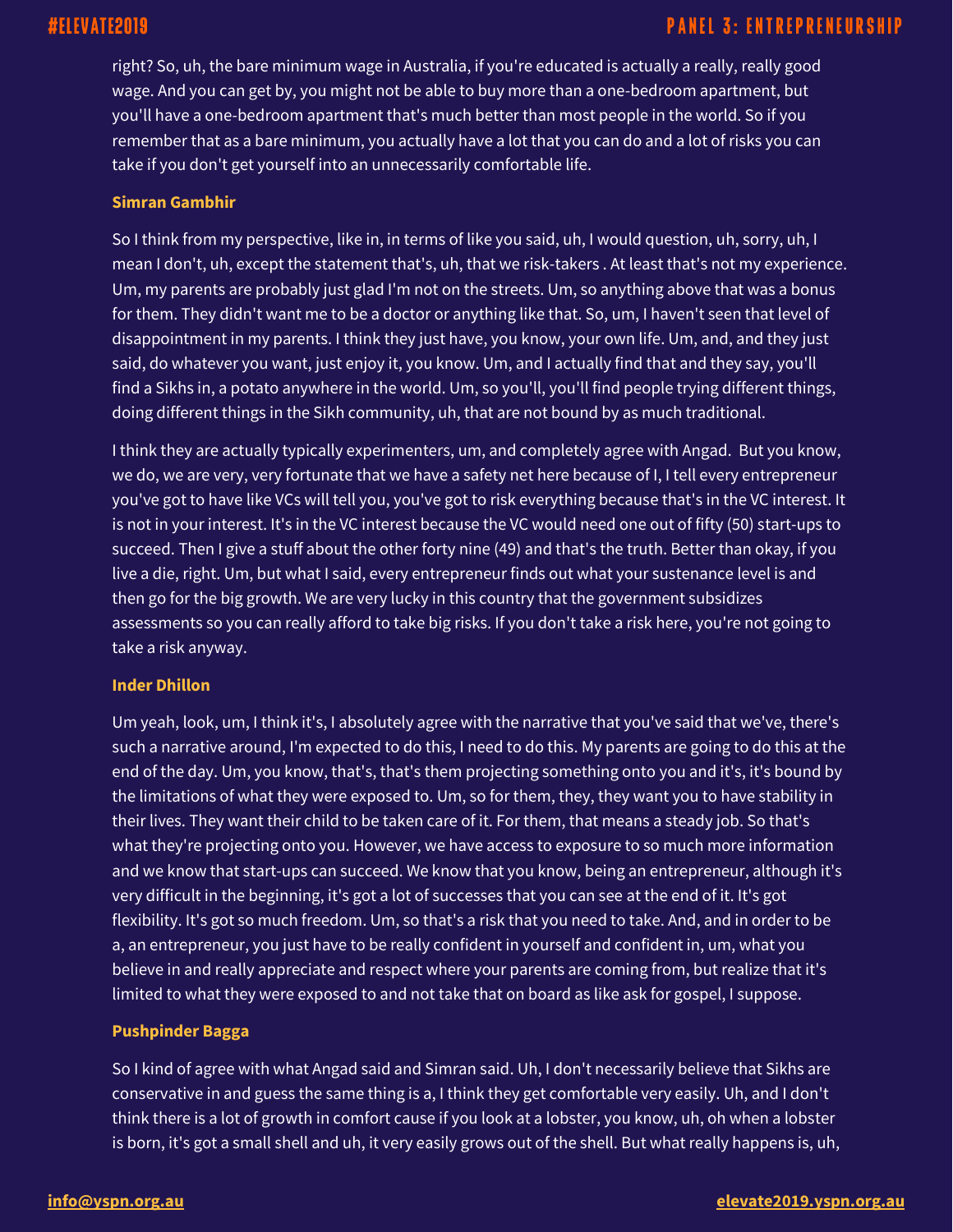right? So, uh, the bare minimum wage in Australia, if you're educated is actually a really, really good wage. And you can get by, you might not be able to buy more than a one-bedroom apartment, but you'll have a one-bedroom apartment that's much better than most people in the world. So if you remember that as a bare minimum, you actually have a lot that you can do and a lot of risks you can take if you don't get yourself into an unnecessarily comfortable life.

## **Simran Gambhir**

So I think from my perspective, like in, in terms of like you said, uh, I would question, uh, sorry, uh, I mean I don't, uh, except the statement that's, uh, that we risk-takers . At least that's not my experience. Um, my parents are probably just glad I'm not on the streets. Um, so anything above that was a bonus for them. They didn't want me to be a doctor or anything like that. So, um, I haven't seen that level of disappointment in my parents. I think they just have, you know, your own life. Um, and, and they just said, do whatever you want, just enjoy it, you know. Um, and I actually find that and they say, you'll find a Sikhs in, a potato anywhere in the world. Um, so you'll, you'll find people trying different things, doing different things in the Sikh community, uh, that are not bound by as much traditional.

I think they are actually typically experimenters, um, and completely agree with Angad. But you know, we do, we are very, very fortunate that we have a safety net here because of I, I tell every entrepreneur you've got to have like VCs will tell you, you've got to risk everything because that's in the VC interest. It is not in your interest. It's in the VC interest because the VC would need one out of fifty (50) start-ups to succeed. Then I give a stuff about the other forty nine (49) and that's the truth. Better than okay, if you live a die, right. Um, but what I said, every entrepreneur finds out what your sustenance level is and then go for the big growth. We are very lucky in this country that the government subsidizes assessments so you can really afford to take big risks. If you don't take a risk here, you're not going to take a risk anyway.

## **Inder Dhillon**

Um yeah, look, um, I think it's, I absolutely agree with the narrative that you've said that we've, there's such a narrative around, I'm expected to do this, I need to do this. My parents are going to do this at the end of the day. Um, you know, that's, that's them projecting something onto you and it's, it's bound by the limitations of what they were exposed to. Um, so for them, they, they want you to have stability in their lives. They want their child to be taken care of it. For them, that means a steady job. So that's what they're projecting onto you. However, we have access to exposure to so much more information and we know that start-ups can succeed. We know that you know, being an entrepreneur, although it's very difficult in the beginning, it's got a lot of successes that you can see at the end of it. It's got flexibility. It's got so much freedom. Um, so that's a risk that you need to take. And, and in order to be a, an entrepreneur, you just have to be really confident in yourself and confident in, um, what you believe in and really appreciate and respect where your parents are coming from, but realize that it's limited to what they were exposed to and not take that on board as like ask for gospel, I suppose.

## **Pushpinder Bagga**

So I kind of agree with what Angad said and Simran said. Uh, I don't necessarily believe that Sikhs are conservative in and guess the same thing is a, I think they get comfortable very easily. Uh, and I don't think there is a lot of growth in comfort cause if you look at a lobster, you know, uh, oh when a lobster is born, it's got a small shell and uh, it very easily grows out of the shell. But what really happens is, uh,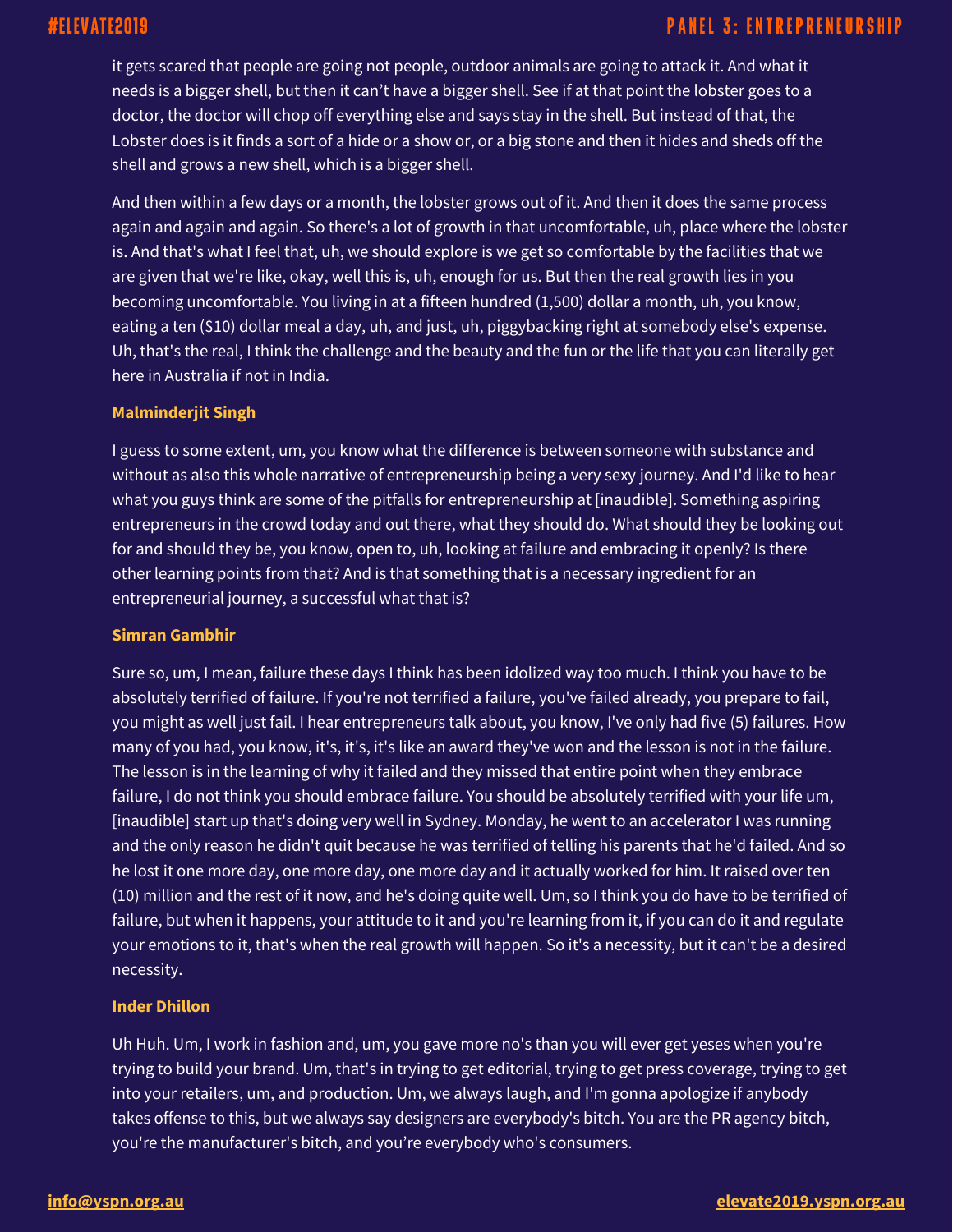## **PANEL 3: ENTREPRENEURSHIP**

it gets scared that people are going not people, outdoor animals are going to attack it. And what it needs is a bigger shell, but then it can't have a bigger shell. See if at that point the lobster goes to a doctor, the doctor will chop off everything else and says stay in the shell. But instead of that, the Lobster does is it finds a sort of a hide or a show or, or a big stone and then it hides and sheds off the shell and grows a new shell, which is a bigger shell.

And then within a few days or a month, the lobster grows out of it. And then it does the same process again and again and again. So there's a lot of growth in that uncomfortable, uh, place where the lobster is. And that's what I feel that, uh, we should explore is we get so comfortable by the facilities that we are given that we're like, okay, well this is, uh, enough for us. But then the real growth lies in you becoming uncomfortable. You living in at a fifteen hundred (1,500) dollar a month, uh, you know, eating a ten (\$10) dollar meal a day, uh, and just, uh, piggybacking right at somebody else's expense. Uh, that's the real, I think the challenge and the beauty and the fun or the life that you can literally get here in Australia if not in India.

## **Malminderjit Singh**

I guess to some extent, um, you know what the difference is between someone with substance and without as also this whole narrative of entrepreneurship being a very sexy journey. And I'd like to hear what you guys think are some of the pitfalls for entrepreneurship at [inaudible]. Something aspiring entrepreneurs in the crowd today and out there, what they should do. What should they be looking out for and should they be, you know, open to, uh, looking at failure and embracing it openly? Is there other learning points from that? And is that something that is a necessary ingredient for an entrepreneurial journey, a successful what that is?

## **Simran Gambhir**

Sure so, um, I mean, failure these days I think has been idolized way too much. I think you have to be absolutely terrified of failure. If you're not terrified a failure, you've failed already, you prepare to fail, you might as well just fail. I hear entrepreneurs talk about, you know, I've only had five (5) failures. How many of you had, you know, it's, it's, it's like an award they've won and the lesson is not in the failure. The lesson is in the learning of why it failed and they missed that entire point when they embrace failure, I do not think you should embrace failure. You should be absolutely terrified with your life um, [inaudible] start up that's doing very well in Sydney. Monday, he went to an accelerator I was running and the only reason he didn't quit because he was terrified of telling his parents that he'd failed. And so he lost it one more day, one more day, one more day and it actually worked for him. It raised over ten (10) million and the rest of it now, and he's doing quite well. Um, so I think you do have to be terrified of failure, but when it happens, your attitude to it and you're learning from it, if you can do it and regulate your emotions to it, that's when the real growth will happen. So it's a necessity, but it can't be a desired necessity.

## **Inder Dhillon**

Uh Huh. Um, I work in fashion and, um, you gave more no's than you will ever get yeses when you're trying to build your brand. Um, that's in trying to get editorial, trying to get press coverage, trying to get into your retailers, um, and production. Um, we always laugh, and I'm gonna apologize if anybody takes offense to this, but we always say designers are everybody's bitch. You are the PR agency bitch, you're the manufacturer's bitch, and you're everybody who's consumers.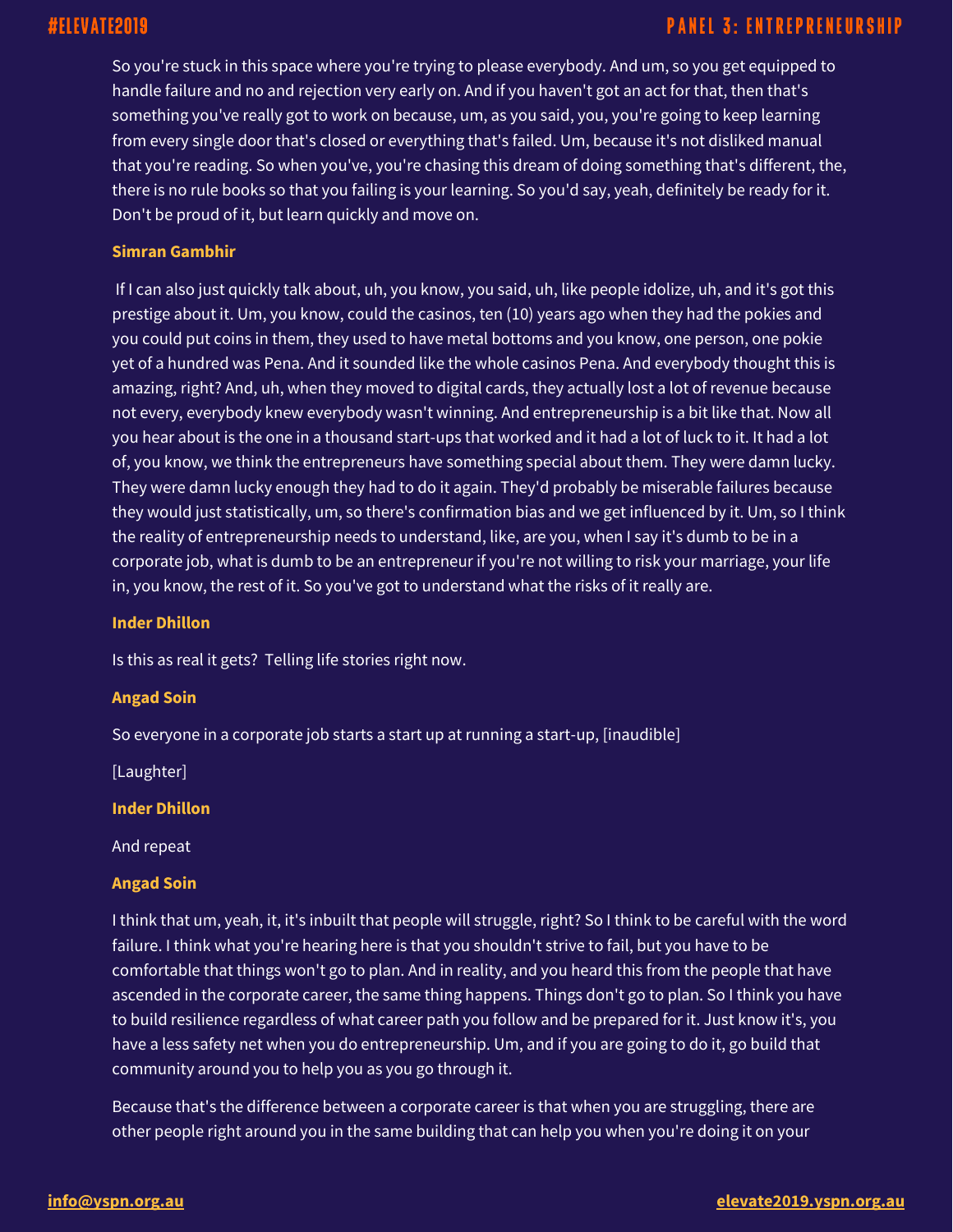So you're stuck in this space where you're trying to please everybody. And um, so you get equipped to handle failure and no and rejection very early on. And if you haven't got an act for that, then that's something you've really got to work on because, um, as you said, you, you're going to keep learning from every single door that's closed or everything that's failed. Um, because it's not disliked manual that you're reading. So when you've, you're chasing this dream of doing something that's different, the, there is no rule books so that you failing is your learning. So you'd say, yeah, definitely be ready for it. Don't be proud of it, but learn quickly and move on.

## **Simran Gambhir**

If I can also just quickly talk about, uh, you know, you said, uh, like people idolize, uh, and it's got this prestige about it. Um, you know, could the casinos, ten (10) years ago when they had the pokies and you could put coins in them, they used to have metal bottoms and you know, one person, one pokie yet of a hundred was Pena. And it sounded like the whole casinos Pena. And everybody thought this is amazing, right? And, uh, when they moved to digital cards, they actually lost a lot of revenue because not every, everybody knew everybody wasn't winning. And entrepreneurship is a bit like that. Now all you hear about is the one in a thousand start-ups that worked and it had a lot of luck to it. It had a lot of, you know, we think the entrepreneurs have something special about them. They were damn lucky. They were damn lucky enough they had to do it again. They'd probably be miserable failures because they would just statistically, um, so there's confirmation bias and we get influenced by it. Um, so I think the reality of entrepreneurship needs to understand, like, are you, when I say it's dumb to be in a corporate job, what is dumb to be an entrepreneur if you're not willing to risk your marriage, your life in, you know, the rest of it. So you've got to understand what the risks of it really are.

#### **Inder Dhillon**

Is this as real it gets? Telling life stories right now.

## **Angad Soin**

So everyone in a corporate job starts a start up at running a start-up, [inaudible]

[Laughter]

**Inder Dhillon**

And repeat

## **Angad Soin**

I think that um, yeah, it, it's inbuilt that people will struggle, right? So I think to be careful with the word failure. I think what you're hearing here is that you shouldn't strive to fail, but you have to be comfortable that things won't go to plan. And in reality, and you heard this from the people that have ascended in the corporate career, the same thing happens. Things don't go to plan. So I think you have to build resilience regardless of what career path you follow and be prepared for it. Just know it's, you have a less safety net when you do entrepreneurship. Um, and if you are going to do it, go build that community around you to help you as you go through it.

Because that's the difference between a corporate career is that when you are struggling, there are other people right around you in the same building that can help you when you're doing it on your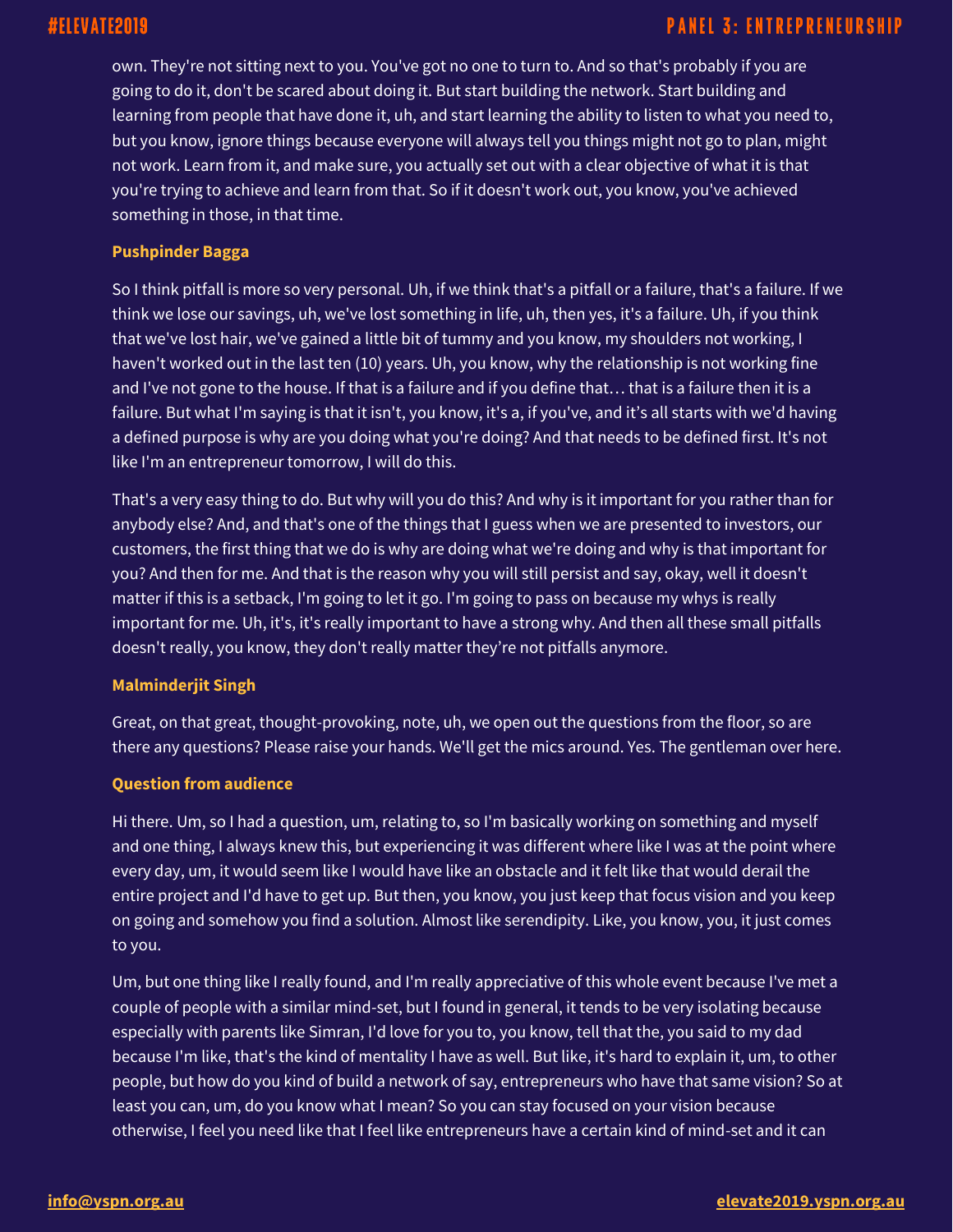own. They're not sitting next to you. You've got no one to turn to. And so that's probably if you are going to do it, don't be scared about doing it. But start building the network. Start building and learning from people that have done it, uh, and start learning the ability to listen to what you need to, but you know, ignore things because everyone will always tell you things might not go to plan, might not work. Learn from it, and make sure, you actually set out with a clear objective of what it is that you're trying to achieve and learn from that. So if it doesn't work out, you know, you've achieved something in those, in that time.

## **Pushpinder Bagga**

So I think pitfall is more so very personal. Uh, if we think that's a pitfall or a failure, that's a failure. If we think we lose our savings, uh, we've lost something in life, uh, then yes, it's a failure. Uh, if you think that we've lost hair, we've gained a little bit of tummy and you know, my shoulders not working, I haven't worked out in the last ten (10) years. Uh, you know, why the relationship is not working fine and I've not gone to the house. If that is a failure and if you define that… that is a failure then it is a failure. But what I'm saying is that it isn't, you know, it's a, if you've, and it's all starts with we'd having a defined purpose is why are you doing what you're doing? And that needs to be defined first. It's not like I'm an entrepreneur tomorrow, I will do this.

That's a very easy thing to do. But why will you do this? And why is it important for you rather than for anybody else? And, and that's one of the things that I guess when we are presented to investors, our customers, the first thing that we do is why are doing what we're doing and why is that important for you? And then for me. And that is the reason why you will still persist and say, okay, well it doesn't matter if this is a setback, I'm going to let it go. I'm going to pass on because my whys is really important for me. Uh, it's, it's really important to have a strong why. And then all these small pitfalls doesn't really, you know, they don't really matter they're not pitfalls anymore.

## **Malminderjit Singh**

Great, on that great, thought-provoking, note, uh, we open out the questions from the floor, so are there any questions? Please raise your hands. We'll get the mics around. Yes. The gentleman over here.

## **Question from audience**

Hi there. Um, so I had a question, um, relating to, so I'm basically working on something and myself and one thing, I always knew this, but experiencing it was different where like I was at the point where every day, um, it would seem like I would have like an obstacle and it felt like that would derail the entire project and I'd have to get up. But then, you know, you just keep that focus vision and you keep on going and somehow you find a solution. Almost like serendipity. Like, you know, you, it just comes to you.

Um, but one thing like I really found, and I'm really appreciative of this whole event because I've met a couple of people with a similar mind-set, but I found in general, it tends to be very isolating because especially with parents like Simran, I'd love for you to, you know, tell that the, you said to my dad because I'm like, that's the kind of mentality I have as well. But like, it's hard to explain it, um, to other people, but how do you kind of build a network of say, entrepreneurs who have that same vision? So at least you can, um, do you know what I mean? So you can stay focused on your vision because otherwise, I feel you need like that I feel like entrepreneurs have a certain kind of mind-set and it can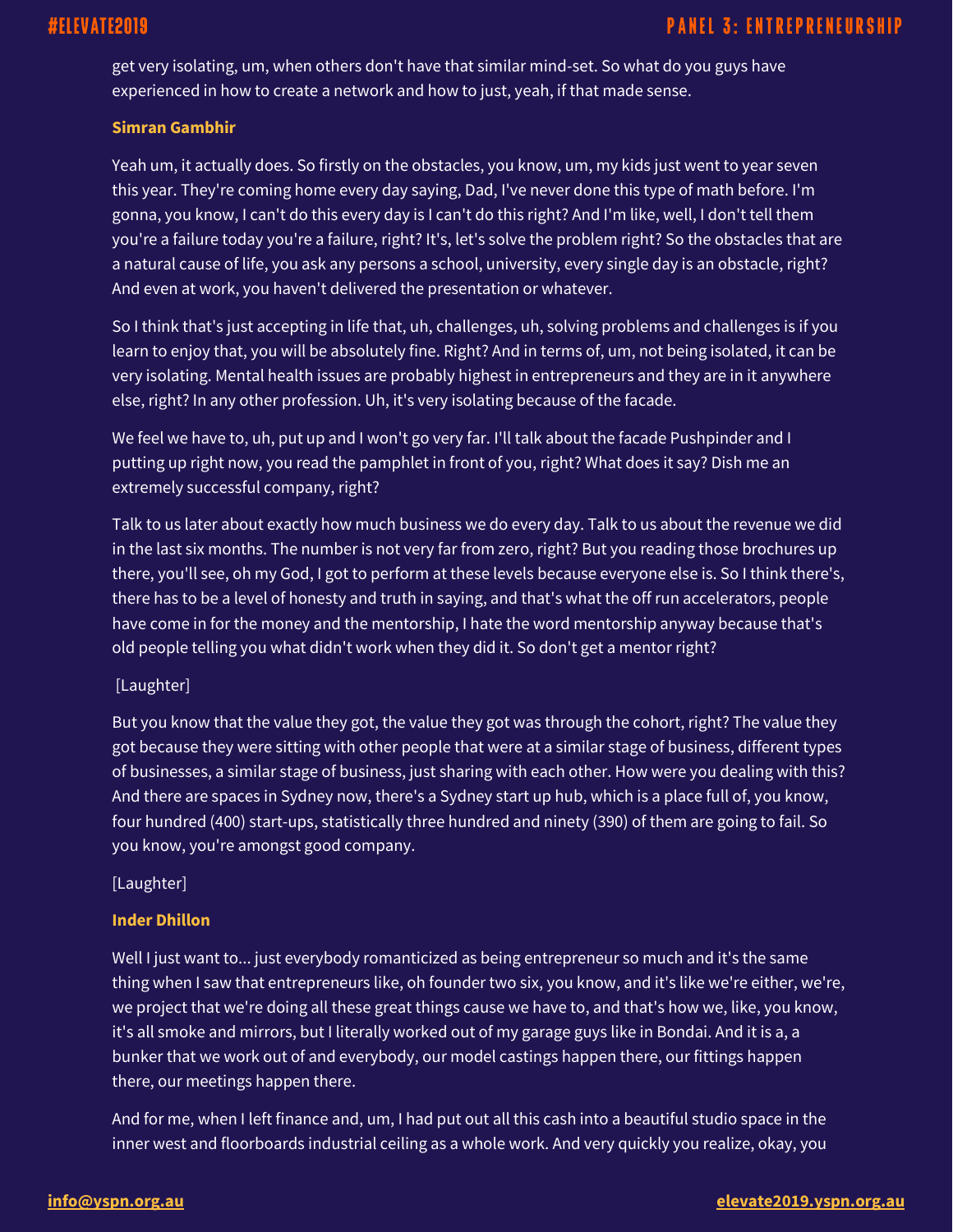get very isolating, um, when others don't have that similar mind-set. So what do you guys have experienced in how to create a network and how to just, yeah, if that made sense.

## **Simran Gambhir**

Yeah um, it actually does. So firstly on the obstacles, you know, um, my kids just went to year seven this year. They're coming home every day saying, Dad, I've never done this type of math before. I'm gonna, you know, I can't do this every day is I can't do this right? And I'm like, well, I don't tell them you're a failure today you're a failure, right? It's, let's solve the problem right? So the obstacles that are a natural cause of life, you ask any persons a school, university, every single day is an obstacle, right? And even at work, you haven't delivered the presentation or whatever.

So I think that's just accepting in life that, uh, challenges, uh, solving problems and challenges is if you learn to enjoy that, you will be absolutely fine. Right? And in terms of, um, not being isolated, it can be very isolating. Mental health issues are probably highest in entrepreneurs and they are in it anywhere else, right? In any other profession. Uh, it's very isolating because of the facade.

We feel we have to, uh, put up and I won't go very far. I'll talk about the facade Pushpinder and I putting up right now, you read the pamphlet in front of you, right? What does it say? Dish me an extremely successful company, right?

Talk to us later about exactly how much business we do every day. Talk to us about the revenue we did in the last six months. The number is not very far from zero, right? But you reading those brochures up there, you'll see, oh my God, I got to perform at these levels because everyone else is. So I think there's, there has to be a level of honesty and truth in saying, and that's what the off run accelerators, people have come in for the money and the mentorship, I hate the word mentorship anyway because that's old people telling you what didn't work when they did it. So don't get a mentor right?

## [Laughter]

But you know that the value they got, the value they got was through the cohort, right? The value they got because they were sitting with other people that were at a similar stage of business, different types of businesses, a similar stage of business, just sharing with each other. How were you dealing with this? And there are spaces in Sydney now, there's a Sydney start up hub, which is a place full of, you know, four hundred (400) start-ups, statistically three hundred and ninety (390) of them are going to fail. So you know, you're amongst good company.

## [Laughter]

## **Inder Dhillon**

Well I just want to... just everybody romanticized as being entrepreneur so much and it's the same thing when I saw that entrepreneurs like, oh founder two six, you know, and it's like we're either, we're, we project that we're doing all these great things cause we have to, and that's how we, like, you know, it's all smoke and mirrors, but I literally worked out of my garage guys like in Bondai. And it is a, a bunker that we work out of and everybody, our model castings happen there, our fittings happen there, our meetings happen there.

And for me, when I left finance and, um, I had put out all this cash into a beautiful studio space in the inner west and floorboards industrial ceiling as a whole work. And very quickly you realize, okay, you

## **[info@yspn.org.au](mailto:info@yspn.org.au) [elevate2019.yspn.org.au](https://elevate2019.yspn.org.au/)**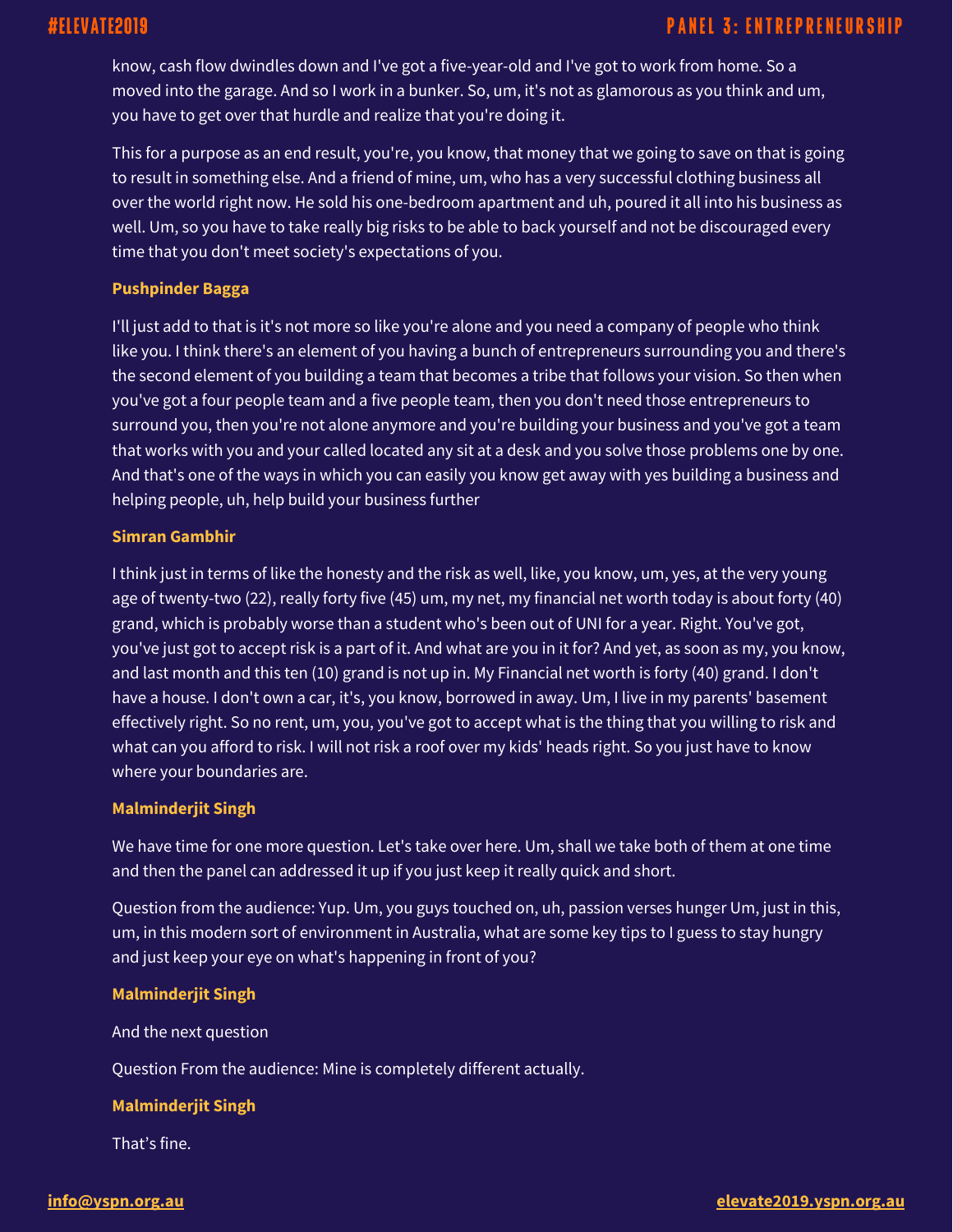know, cash flow dwindles down and I've got a five-year-old and I've got to work from home. So a moved into the garage. And so I work in a bunker. So, um, it's not as glamorous as you think and um, you have to get over that hurdle and realize that you're doing it.

This for a purpose as an end result, you're, you know, that money that we going to save on that is going to result in something else. And a friend of mine, um, who has a very successful clothing business all over the world right now. He sold his one-bedroom apartment and uh, poured it all into his business as well. Um, so you have to take really big risks to be able to back yourself and not be discouraged every time that you don't meet society's expectations of you.

## **Pushpinder Bagga**

I'll just add to that is it's not more so like you're alone and you need a company of people who think like you. I think there's an element of you having a bunch of entrepreneurs surrounding you and there's the second element of you building a team that becomes a tribe that follows your vision. So then when you've got a four people team and a five people team, then you don't need those entrepreneurs to surround you, then you're not alone anymore and you're building your business and you've got a team that works with you and your called located any sit at a desk and you solve those problems one by one. And that's one of the ways in which you can easily you know get away with yes building a business and helping people, uh, help build your business further

## **Simran Gambhir**

I think just in terms of like the honesty and the risk as well, like, you know, um, yes, at the very young age of twenty-two (22), really forty five (45) um, my net, my financial net worth today is about forty (40) grand, which is probably worse than a student who's been out of UNI for a year. Right. You've got, you've just got to accept risk is a part of it. And what are you in it for? And yet, as soon as my, you know, and last month and this ten (10) grand is not up in. My Financial net worth is forty (40) grand. I don't have a house. I don't own a car, it's, you know, borrowed in away. Um, I live in my parents' basement effectively right. So no rent, um, you, you've got to accept what is the thing that you willing to risk and what can you afford to risk. I will not risk a roof over my kids' heads right. So you just have to know where your boundaries are.

## **Malminderjit Singh**

We have time for one more question. Let's take over here. Um, shall we take both of them at one time and then the panel can addressed it up if you just keep it really quick and short.

Question from the audience: Yup. Um, you guys touched on, uh, passion verses hunger Um, just in this, um, in this modern sort of environment in Australia, what are some key tips to I guess to stay hungry and just keep your eye on what's happening in front of you?

## **Malminderjit Singh**

And the next question

Question From the audience: Mine is completely different actually.

## **Malminderjit Singh**

That's fine.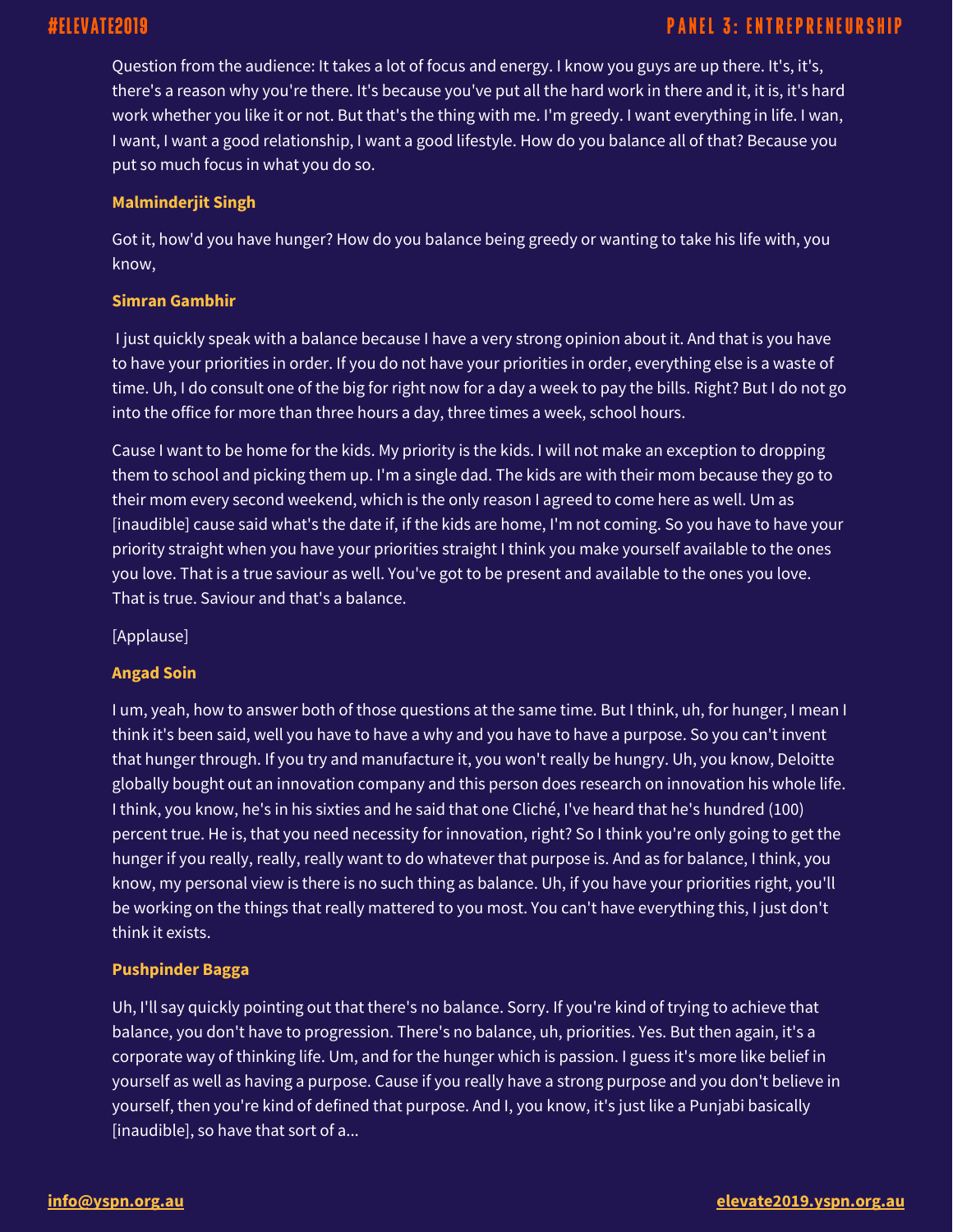## **PANEL 3: ENTREPRENEURSHIP**

Question from the audience: It takes a lot of focus and energy. I know you guys are up there. It's, it's, there's a reason why you're there. It's because you've put all the hard work in there and it, it is, it's hard work whether you like it or not. But that's the thing with me. I'm greedy. I want everything in life. I wan, I want, I want a good relationship, I want a good lifestyle. How do you balance all of that? Because you put so much focus in what you do so.

## **Malminderjit Singh**

Got it, how'd you have hunger? How do you balance being greedy or wanting to take his life with, you know,

## **Simran Gambhir**

I just quickly speak with a balance because I have a very strong opinion about it. And that is you have to have your priorities in order. If you do not have your priorities in order, everything else is a waste of time. Uh, I do consult one of the big for right now for a day a week to pay the bills. Right? But I do not go into the office for more than three hours a day, three times a week, school hours.

Cause I want to be home for the kids. My priority is the kids. I will not make an exception to dropping them to school and picking them up. I'm a single dad. The kids are with their mom because they go to their mom every second weekend, which is the only reason I agreed to come here as well. Um as [inaudible] cause said what's the date if, if the kids are home, I'm not coming. So you have to have your priority straight when you have your priorities straight I think you make yourself available to the ones you love. That is a true saviour as well. You've got to be present and available to the ones you love. That is true. Saviour and that's a balance.

[Applause]

## **Angad Soin**

I um, yeah, how to answer both of those questions at the same time. But I think, uh, for hunger, I mean I think it's been said, well you have to have a why and you have to have a purpose. So you can't invent that hunger through. If you try and manufacture it, you won't really be hungry. Uh, you know, Deloitte globally bought out an innovation company and this person does research on innovation his whole life. I think, you know, he's in his sixties and he said that one Cliché, I've heard that he's hundred (100) percent true. He is, that you need necessity for innovation, right? So I think you're only going to get the hunger if you really, really, really want to do whatever that purpose is. And as for balance, I think, you know, my personal view is there is no such thing as balance. Uh, if you have your priorities right, you'll be working on the things that really mattered to you most. You can't have everything this, I just don't think it exists.

## **Pushpinder Bagga**

Uh, I'll say quickly pointing out that there's no balance. Sorry. If you're kind of trying to achieve that balance, you don't have to progression. There's no balance, uh, priorities. Yes. But then again, it's a corporate way of thinking life. Um, and for the hunger which is passion. I guess it's more like belief in yourself as well as having a purpose. Cause if you really have a strong purpose and you don't believe in yourself, then you're kind of defined that purpose. And I, you know, it's just like a Punjabi basically [inaudible], so have that sort of a...